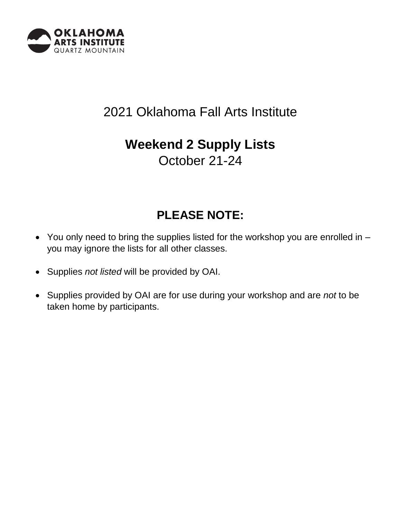

# 2021 Oklahoma Fall Arts Institute

# **Weekend 2 Supply Lists**

October 21-24

## **PLEASE NOTE:**

- You only need to bring the supplies listed for the workshop you are enrolled in you may ignore the lists for all other classes.
- Supplies *not listed* will be provided by OAI.
- Supplies provided by OAI are for use during your workshop and are *not* to be taken home by participants.